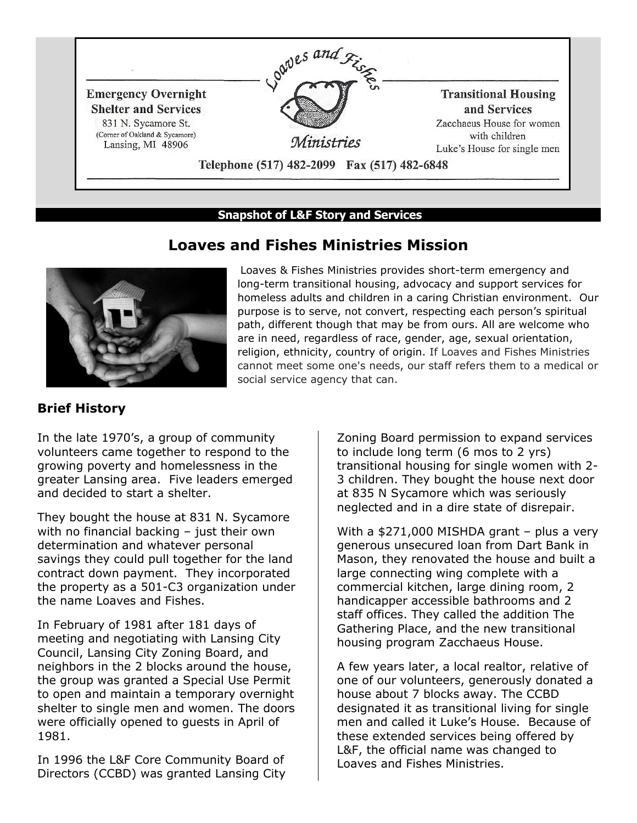

#### **Snapshot of L&F Story and Services**



## **Loaves and Fishes Ministries Mission**

Loaves & Fishes Ministries provides short-term emergency and long-term transitional housing, advocacy and support services for homeless adults and children in a caring Christian environment. Our purpose is to serve, not convert, respecting each person's spiritual path, different though that may be from ours. All are welcome who are in need, regardless of race, gender, age, sexual orientation, religion, ethnicity, country of origin. If Loaves and Fishes Ministries cannot meet some one's needs, our staff refers them to a medical or social service agency that can.

#### **Brief History**

In the late 1970's, a group of community volunteers came together to respond to the growing poverty and homelessness in the greater Lansing area. Five leaders emerged and decided to start a shelter.

They bought the house at 831 N. Sycamore with no financial backing - just their own determination and whatever personal savings they could pull together for the land contract down payment. They incorporated the property as a 501-C3 organization under the name Loaves and Fishes.

In February of 1981 after 181 days of meeting and negotiating with Lansing City Council, Lansing City Zoning Board, and neighbors in the 2 blocks around the house, the group was granted a Special Use Permit to open and maintain a temporary overnight shelter to single men and women. The doors were officially opened to guests in April of 1981.

In 1996 the L&F Core Community Board of Directors (CCBD) was granted Lansing City Zoning Board permission to expand services to include long term (6 mos to 2 yrs) transitional housing for single women with 2- 3 children. They bought the house next door at 835 N Sycamore which was seriously neglected and in a dire state of disrepair.

With a \$271,000 MISHDA grant - plus a very generous unsecured loan from Dart Bank in Mason, they renovated the house and built a large connecting wing complete with a commercial kitchen, large dining room, 2 handicapper accessible bathrooms and 2 staff offices. They called the addition The Gathering Place, and the new transitional housing program Zacchaeus House.

A few years later, a local realtor, relative of one of our volunteers, generously donated a house about 7 blocks away. The CCBD designated it as transitional living for single men and called it Luke's House. Because of these extended services being offered by L&F, the official name was changed to Loaves and Fishes Ministries.